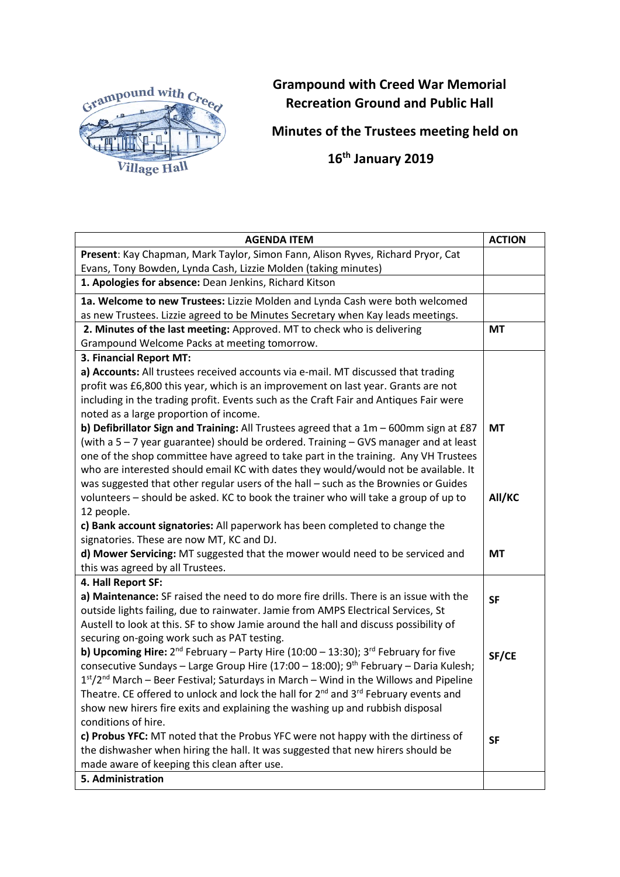

## **Grampound with Creed War Memorial Recreation Ground and Public Hall**

**Minutes of the Trustees meeting held on**

 **16th January 2019**

| <b>AGENDA ITEM</b>                                                                                  | <b>ACTION</b> |
|-----------------------------------------------------------------------------------------------------|---------------|
| Present: Kay Chapman, Mark Taylor, Simon Fann, Alison Ryves, Richard Pryor, Cat                     |               |
| Evans, Tony Bowden, Lynda Cash, Lizzie Molden (taking minutes)                                      |               |
| 1. Apologies for absence: Dean Jenkins, Richard Kitson                                              |               |
| 1a. Welcome to new Trustees: Lizzie Molden and Lynda Cash were both welcomed                        |               |
| as new Trustees. Lizzie agreed to be Minutes Secretary when Kay leads meetings.                     |               |
| 2. Minutes of the last meeting: Approved. MT to check who is delivering                             | <b>MT</b>     |
| Grampound Welcome Packs at meeting tomorrow.                                                        |               |
| 3. Financial Report MT:                                                                             |               |
| a) Accounts: All trustees received accounts via e-mail. MT discussed that trading                   |               |
| profit was £6,800 this year, which is an improvement on last year. Grants are not                   |               |
| including in the trading profit. Events such as the Craft Fair and Antiques Fair were               |               |
| noted as a large proportion of income.                                                              |               |
| b) Defibrillator Sign and Training: All Trustees agreed that a 1m - 600mm sign at £87               | <b>MT</b>     |
| (with a 5 - 7 year guarantee) should be ordered. Training - GVS manager and at least                |               |
| one of the shop committee have agreed to take part in the training. Any VH Trustees                 |               |
| who are interested should email KC with dates they would/would not be available. It                 |               |
| was suggested that other regular users of the hall - such as the Brownies or Guides                 |               |
| volunteers - should be asked. KC to book the trainer who will take a group of up to                 | All/KC        |
| 12 people.                                                                                          |               |
| c) Bank account signatories: All paperwork has been completed to change the                         |               |
| signatories. These are now MT, KC and DJ.                                                           |               |
| d) Mower Servicing: MT suggested that the mower would need to be serviced and                       | МT            |
| this was agreed by all Trustees.                                                                    |               |
| 4. Hall Report SF:                                                                                  |               |
| a) Maintenance: SF raised the need to do more fire drills. There is an issue with the               | <b>SF</b>     |
| outside lights failing, due to rainwater. Jamie from AMPS Electrical Services, St                   |               |
| Austell to look at this. SF to show Jamie around the hall and discuss possibility of                |               |
| securing on-going work such as PAT testing.                                                         |               |
| <b>b) Upcoming Hire:</b> $2^{nd}$ February – Party Hire (10:00 – 13:30); $3^{rd}$ February for five | SF/CE         |
| consecutive Sundays - Large Group Hire (17:00 - 18:00); $9th$ February - Daria Kulesh;              |               |
| 1st/2 <sup>nd</sup> March – Beer Festival; Saturdays in March – Wind in the Willows and Pipeline    |               |
| Theatre. CE offered to unlock and lock the hall for $2^{nd}$ and $3^{rd}$ February events and       |               |
| show new hirers fire exits and explaining the washing up and rubbish disposal                       |               |
| conditions of hire.                                                                                 |               |
| c) Probus YFC: MT noted that the Probus YFC were not happy with the dirtiness of                    | <b>SF</b>     |
| the dishwasher when hiring the hall. It was suggested that new hirers should be                     |               |
| made aware of keeping this clean after use.                                                         |               |
| 5. Administration                                                                                   |               |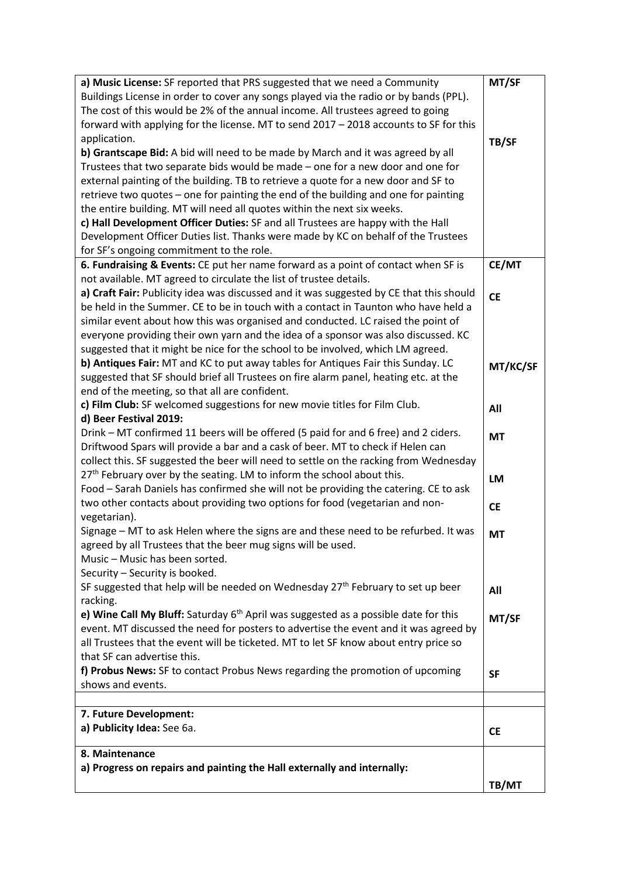| a) Music License: SF reported that PRS suggested that we need a Community               | MT/SF     |
|-----------------------------------------------------------------------------------------|-----------|
| Buildings License in order to cover any songs played via the radio or by bands (PPL).   |           |
| The cost of this would be 2% of the annual income. All trustees agreed to going         |           |
| forward with applying for the license. MT to send 2017 - 2018 accounts to SF for this   |           |
| application.                                                                            | TB/SF     |
| b) Grantscape Bid: A bid will need to be made by March and it was agreed by all         |           |
| Trustees that two separate bids would be made - one for a new door and one for          |           |
| external painting of the building. TB to retrieve a quote for a new door and SF to      |           |
| retrieve two quotes - one for painting the end of the building and one for painting     |           |
| the entire building. MT will need all quotes within the next six weeks.                 |           |
| c) Hall Development Officer Duties: SF and all Trustees are happy with the Hall         |           |
| Development Officer Duties list. Thanks were made by KC on behalf of the Trustees       |           |
| for SF's ongoing commitment to the role.                                                |           |
| 6. Fundraising & Events: CE put her name forward as a point of contact when SF is       | CE/MT     |
| not available. MT agreed to circulate the list of trustee details.                      |           |
| a) Craft Fair: Publicity idea was discussed and it was suggested by CE that this should |           |
| be held in the Summer. CE to be in touch with a contact in Taunton who have held a      | <b>CE</b> |
| similar event about how this was organised and conducted. LC raised the point of        |           |
| everyone providing their own yarn and the idea of a sponsor was also discussed. KC      |           |
| suggested that it might be nice for the school to be involved, which LM agreed.         |           |
| b) Antiques Fair: MT and KC to put away tables for Antiques Fair this Sunday. LC        |           |
| suggested that SF should brief all Trustees on fire alarm panel, heating etc. at the    | MT/KC/SF  |
| end of the meeting, so that all are confident.                                          |           |
| c) Film Club: SF welcomed suggestions for new movie titles for Film Club.               |           |
| d) Beer Festival 2019:                                                                  | All       |
| Drink – MT confirmed 11 beers will be offered (5 paid for and 6 free) and 2 ciders.     |           |
| Driftwood Spars will provide a bar and a cask of beer. MT to check if Helen can         | <b>MT</b> |
| collect this. SF suggested the beer will need to settle on the racking from Wednesday   |           |
| 27 <sup>th</sup> February over by the seating. LM to inform the school about this.      |           |
| Food - Sarah Daniels has confirmed she will not be providing the catering. CE to ask    | LM        |
|                                                                                         |           |
| two other contacts about providing two options for food (vegetarian and non-            | <b>CE</b> |
| vegetarian).                                                                            |           |
| Signage - MT to ask Helen where the signs are and these need to be refurbed. It was     | <b>MT</b> |
| agreed by all Trustees that the beer mug signs will be used.                            |           |
| Music - Music has been sorted.                                                          |           |
| Security - Security is booked.                                                          |           |
| SF suggested that help will be needed on Wednesday $27th$ February to set up beer       | All       |
| racking.                                                                                |           |
| e) Wine Call My Bluff: Saturday $6th$ April was suggested as a possible date for this   | MT/SF     |
| event. MT discussed the need for posters to advertise the event and it was agreed by    |           |
| all Trustees that the event will be ticketed. MT to let SF know about entry price so    |           |
| that SF can advertise this.                                                             |           |
| f) Probus News: SF to contact Probus News regarding the promotion of upcoming           | <b>SF</b> |
| shows and events.                                                                       |           |
|                                                                                         |           |
| 7. Future Development:                                                                  |           |
| a) Publicity Idea: See 6a.                                                              | <b>CE</b> |
| 8. Maintenance                                                                          |           |
| a) Progress on repairs and painting the Hall externally and internally:                 |           |
|                                                                                         |           |
|                                                                                         | TB/MT     |